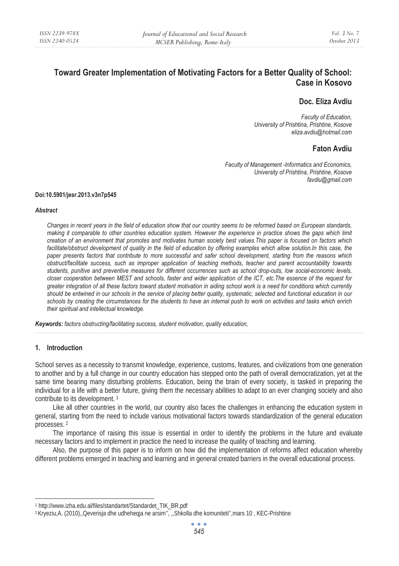# **Toward Greater Implementation of Motivating Factors for a Better Quality of School: Case in Kosovo**

## **Doc. Eliza Avdiu**

*Faculty of Education, University of Prishtina, Prishtine, Kosove eliza.avdiu@hotmail.com* 

# **Faton Avdiu**

*Faculty of Management -Informatics and Economics, University of Prishtina, Prishtine, Kosove favdiu@gmail.com* 

#### **Doi:10.5901/jesr.2013.v3n7p545**

#### *Abstract*

*Changes in recent years in the field of education show that our country seems to be reformed based on European standards, making it comparable to other countries education system. However the experience in practice shows the gaps which limit creation of an environment that promotes and motivates human society best values.This paper is focused on factors which*  facilitate/obstruct development of quality in the field of education by offering examples which allow solution.In this case, the *paper presents factors that contribute to more successful and safer school development, starting from the reasons which obstruct/facilitate success, such as improper application of teaching methods, teacher and parent accountability towards students, punitive and preventive measures for different occurrences such as school drop-outs, low social-economic levels, closer cooperation between MEST and schools, faster and wider application of the ICT, etc.The essence of the request for greater integration of all these factors toward student motivation in aiding school work is a need for conditions which currently*  should be entwined in our schools in the service of placing better quality, systematic, selected and functional education in our *schools by creating the circumstances for the students to have an internal push to work on activities and tasks which enrich their spiritual and intellectual knowledge.* 

*Keywords: factors obstructing/facilitating success, student motivation, quality education,* 

### **1. Introduction**

School serves as a necessity to transmit knowledge, experience, customs, features, and civilizations from one generation to another and by a full change in our country education has stepped onto the path of overall democratization, yet at the same time bearing many disturbing problems. Education, being the brain of every society, is tasked in preparing the individual for a life with a better future, giving them the necessary abilities to adapt to an ever changing society and also contribute to its development. 1

Like all other countries in the world, our country also faces the challenges in enhancing the education system in general, starting from the need to include various motivational factors towards standardization of the general education processes. 2

The importance of raising this issue is essential in order to identify the problems in the future and evaluate necessary factors and to implement in practice the need to increase the quality of teaching and learning.

Also, the purpose of this paper is to inform on how did the implementation of reforms affect education whereby different problems emerged in teaching and learning and in general created barriers in the overall educational process.

<sup>1</sup> http://www.izha.edu.al/files/standartet/Standardet\_TIK\_BR.pdf

<sup>2</sup> Kryeziu,A. (2010),,Qeverisja dhe udheheqja ne arsim'', ,,Shkolla dhe komuniteti'',mars 10 , KEC-Prishtine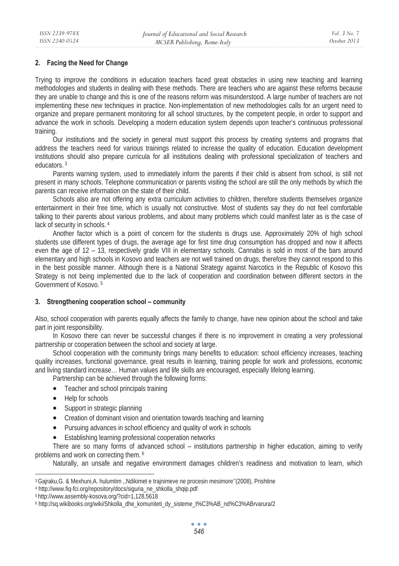### **2. Facing the Need for Change**

Trying to improve the conditions in education teachers faced great obstacles in using new teaching and learning methodologies and students in dealing with these methods. There are teachers who are against these reforms because they are unable to change and this is one of the reasons reform was misunderstood. A large number of teachers are not implementing these new techniques in practice. Non-implementation of new methodologies calls for an urgent need to organize and prepare permanent monitoring for all school structures, by the competent people, in order to support and advance the work in schools. Developing a modern education system depends upon teacher's continuous professional training.

Our institutions and the society in general must support this process by creating systems and programs that address the teachers need for various trainings related to increase the quality of education. Education development institutions should also prepare curricula for all institutions dealing with professional specialization of teachers and educators. 3

Parents warning system, used to immediately inform the parents if their child is absent from school, is still not present in many schools. Telephone communication or parents visiting the school are still the only methods by which the parents can receive information on the state of their child.

Schools also are not offering any extra curriculum activities to children, therefore students themselves organize entertainment in their free time, which is usually not constructive. Most of students say they do not feel comfortable talking to their parents about various problems, and about many problems which could manifest later as is the case of lack of security in schools. 4

Another factor which is a point of concern for the students is drugs use. Approximately 20% of high school students use different types of drugs, the average age for first time drug consumption has dropped and now it affects even the age of 12 – 13, respectively grade VIII in elementary schools. Cannabis is sold in most of the bars around elementary and high schools in Kosovo and teachers are not well trained on drugs, therefore they cannot respond to this in the best possible manner. Although there is a National Strategy against Narcotics in the Republic of Kosovo this Strategy is not being implemented due to the lack of cooperation and coordination between different sectors in the Government of Kosovo. 5

### **3. Strengthening cooperation school – community**

Also, school cooperation with parents equally affects the family to change, have new opinion about the school and take part in joint responsibility.

In Kosovo there can never be successful changes if there is no improvement in creating a very professional partnership or cooperation between the school and society at large.

School cooperation with the community brings many benefits to education: school efficiency increases, teaching quality increases, functional governance, great results in learning, training people for work and professions, economic and living standard increase… Human values and life skills are encouraged, especially lifelong learning.

Partnership can be achieved through the following forms:

- Teacher and school principals training
- Help for schools

- Support in strategic planning
- Creation of dominant vision and orientation towards teaching and learning
- Pursuing advances in school efficiency and quality of work in schools
- Establishing learning professional cooperation networks

There are so many forms of advanced school – institutions partnership in higher education, aiming to verify problems and work on correcting them. 6

Naturally, an unsafe and negative environment damages children's readiness and motivation to learn, which

<sup>&</sup>lt;sup>3</sup> Gajraku,G. & Mexhuni,A. hulumtim ,,Ndikimet e trajnimeve ne procesin mesimore''(2008), Prishtine 4 http://www.fiq-fci.org/repository/docs/siguria\_ne\_shkolla\_shqip.pdf

<sup>5</sup> http://www.assembly-kosova.org/?cid=1,128,5618

<sup>6</sup> http://sq.wikibooks.org/wiki/Shkolla\_dhe\_komuniteti\_dy\_sisteme\_t%C3%AB\_nd%C3%ABrvarura/2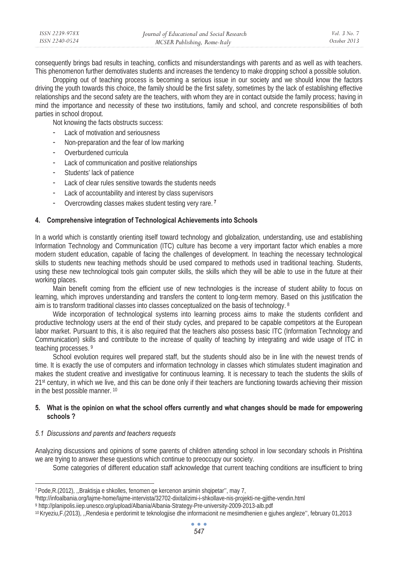| ISSN 2239-978X | Journal of Educational and Social Research | Vol. 3 No. 7 |
|----------------|--------------------------------------------|--------------|
| ISSN 2240-0524 | MCSER Publishing, Rome-Italy               | October 2013 |

consequently brings bad results in teaching, conflicts and misunderstandings with parents and as well as with teachers. This phenomenon further demotivates students and increases the tendency to make dropping school a possible solution.

Dropping out of teaching process is becoming a serious issue in our society and we should know the factors driving the youth towards this choice, the family should be the first safety, sometimes by the lack of establishing effective relationships and the second safety are the teachers, with whom they are in contact outside the family process; having in mind the importance and necessity of these two institutions, family and school, and concrete responsibilities of both parties in school dropout.

Not knowing the facts obstructs success:

- Lack of motivation and seriousness
- Non-preparation and the fear of low marking
- Overburdened curricula
- Lack of communication and positive relationships
- Students' lack of patience
- Lack of clear rules sensitive towards the students needs
- Lack of accountability and interest by class supervisors
- Overcrowding classes makes student testing very rare.**<sup>7</sup>**

### **4. Comprehensive integration of Technological Achievements into Schools**

In a world which is constantly orienting itself toward technology and globalization, understanding, use and establishing Information Technology and Communication (ITC) culture has become a very important factor which enables a more modern student education, capable of facing the challenges of development. In teaching the necessary technological skills to students new teaching methods should be used compared to methods used in traditional teaching. Students, using these new technological tools gain computer skills, the skills which they will be able to use in the future at their working places.

Main benefit coming from the efficient use of new technologies is the increase of student ability to focus on learning, which improves understanding and transfers the content to long-term memory. Based on this justification the aim is to transform traditional classes into classes conceptualized on the basis of technology. 8

Wide incorporation of technological systems into learning process aims to make the students confident and productive technology users at the end of their study cycles, and prepared to be capable competitors at the European labor market. Pursuant to this, it is also required that the teachers also possess basic ITC (Information Technology and Communication) skills and contribute to the increase of quality of teaching by integrating and wide usage of ITC in teaching processes. 9

School evolution requires well prepared staff, but the students should also be in line with the newest trends of time. It is exactly the use of computers and information technology in classes which stimulates student imagination and makes the student creative and investigative for continuous learning. It is necessary to teach the students the skills of 21st century, in which we live, and this can be done only if their teachers are functioning towards achieving their mission in the best possible manner. 10

### **5. What is the opinion on what the school offers currently and what changes should be made for empowering schools ?**

### *5.1 Discussions and parents and teachers requests*

Analyzing discussions and opinions of some parents of children attending school in low secondary schools in Prishtina we are trying to answer these questions which continue to preoccupy our society.

Some categories of different education staff acknowledge that current teaching conditions are insufficient to bring

<sup>&</sup>lt;sup>7</sup> Pode, R. (2012), "Braktisja e shkolles, fenomen qe kercenon arsimin shqipetar", may 7,<br><sup>8</sup>http://infoalbania.org/lajme-home/lajme-intervista/32702-dixitalizimi-i-shkollave-nis-projekti-ne-gjithe-vendin.html<br><sup>9</sup> http://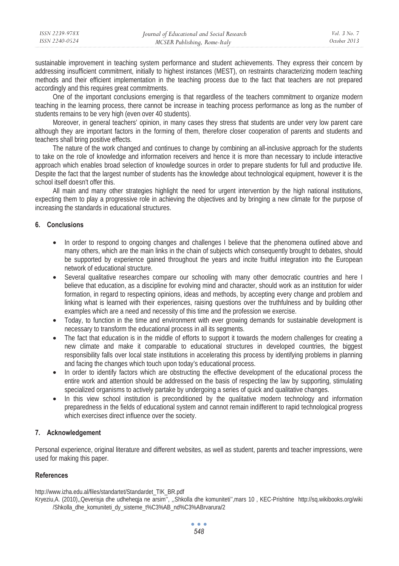| ISSN 2239-978X | Journal of Educational and Social Research | Vol. 3 No. 7 |
|----------------|--------------------------------------------|--------------|
| ISSN 2240-0524 | MCSER Publishing, Rome-Italy               | October 2013 |
|                |                                            |              |

sustainable improvement in teaching system performance and student achievements. They express their concern by addressing insufficient commitment, initially to highest instances (MEST), on restraints characterizing modern teaching methods and their efficient implementation in the teaching process due to the fact that teachers are not prepared accordingly and this requires great commitments.

One of the important conclusions emerging is that regardless of the teachers commitment to organize modern teaching in the learning process, there cannot be increase in teaching process performance as long as the number of students remains to be very high (even over 40 students).

Moreover, in general teachers' opinion, in many cases they stress that students are under very low parent care although they are important factors in the forming of them, therefore closer cooperation of parents and students and teachers shall bring positive effects.

The nature of the work changed and continues to change by combining an all-inclusive approach for the students to take on the role of knowledge and information receivers and hence it is more than necessary to include interactive approach which enables broad selection of knowledge sources in order to prepare students for full and productive life. Despite the fact that the largest number of students has the knowledge about technological equipment, however it is the school itself doesn't offer this.

All main and many other strategies highlight the need for urgent intervention by the high national institutions, expecting them to play a progressive role in achieving the objectives and by bringing a new climate for the purpose of increasing the standards in educational structures.

### **6. Conclusions**

- In order to respond to ongoing changes and challenges I believe that the phenomena outlined above and many others, which are the main links in the chain of subjects which consequently brought to debates, should be supported by experience gained throughout the years and incite fruitful integration into the European network of educational structure.
- Several qualitative researches compare our schooling with many other democratic countries and here I believe that education, as a discipline for evolving mind and character, should work as an institution for wider formation, in regard to respecting opinions, ideas and methods, by accepting every change and problem and linking what is learned with their experiences, raising questions over the truthfulness and by building other examples which are a need and necessity of this time and the profession we exercise.
- Today, to function in the time and environment with ever growing demands for sustainable development is necessary to transform the educational process in all its segments.
- The fact that education is in the middle of efforts to support it towards the modern challenges for creating a new climate and make it comparable to educational structures in developed countries, the biggest responsibility falls over local state institutions in accelerating this process by identifying problems in planning and facing the changes which touch upon today's educational process.
- In order to identify factors which are obstructing the effective development of the educational process the entire work and attention should be addressed on the basis of respecting the law by supporting, stimulating specialized organisms to actively partake by undergoing a series of quick and qualitative changes.
- In this view school institution is preconditioned by the qualitative modern technology and information preparedness in the fields of educational system and cannot remain indifferent to rapid technological progress which exercises direct influence over the society.

### **7. Acknowledgement**

Personal experience, original literature and different websites, as well as student, parents and teacher impressions, were used for making this paper.

### **References**

http://www.izha.edu.al/files/standartet/Standardet\_TIK\_BR.pdf

Kryeziu,A. (2010),,Qeverisja dhe udheheqja ne arsim'', ,,Shkolla dhe komuniteti'',mars 10 , KEC-Prishtine http://sq.wikibooks.org/wiki /Shkolla\_dhe\_komuniteti\_dy\_sisteme\_t%C3%AB\_nd%C3%ABrvarura/2

> $\bullet$   $\bullet$   $\bullet$ *548*